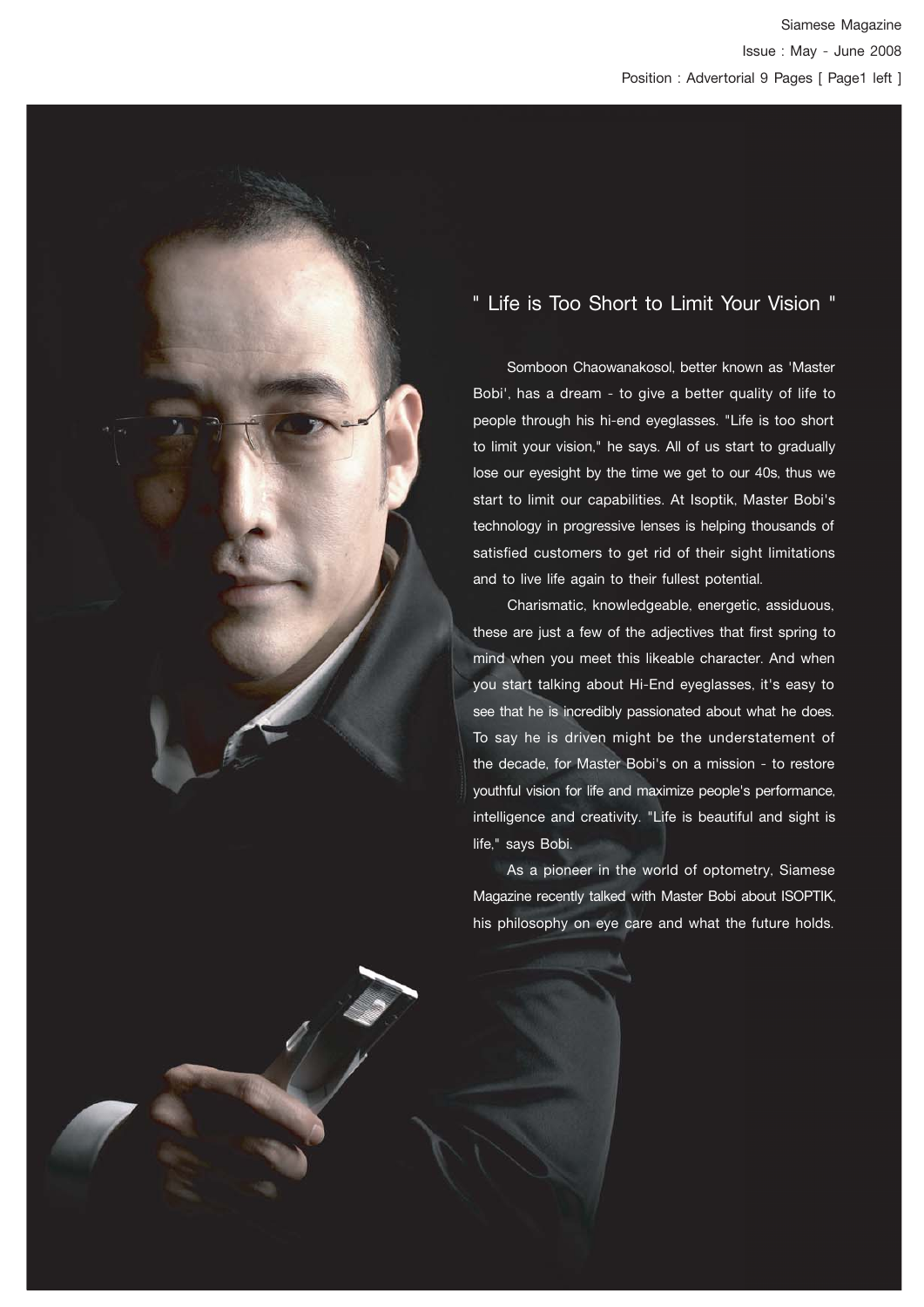# " Life is Too Short to Limit Your Vision "

 Somboon Chaowanakosol, better known as 'Master Bobi', has a dream - to give a better quality of life to people through his hi-end eyeglasses. "Life is too short to limit your vision," he says. All of us start to gradually lose our eyesight by the time we get to our 40s, thus we start to limit our capabilities. At Isoptik, Master Bobi's technology in progressive lenses is helping thousands of satisfied customers to get rid of their sight limitations and to live life again to their fullest potential.

 Charismatic, knowledgeable, energetic, assiduous, these are just a few of the adjectives that first spring to mind when you meet this likeable character. And when you start talking about Hi-End eyeglasses, it's easy to see that he is incredibly passionated about what he does. To say he is driven might be the understatement of the decade, for Master Bobi's on a mission - to restore youthful vision for life and maximize people's performance, intelligence and creativity. "Life is beautiful and sight is life," says Bobi.

 As a pioneer in the world of optometry, Siamese Magazine recently talked with Master Bobi about ISOPTIK, his philosophy on eye care and what the future holds.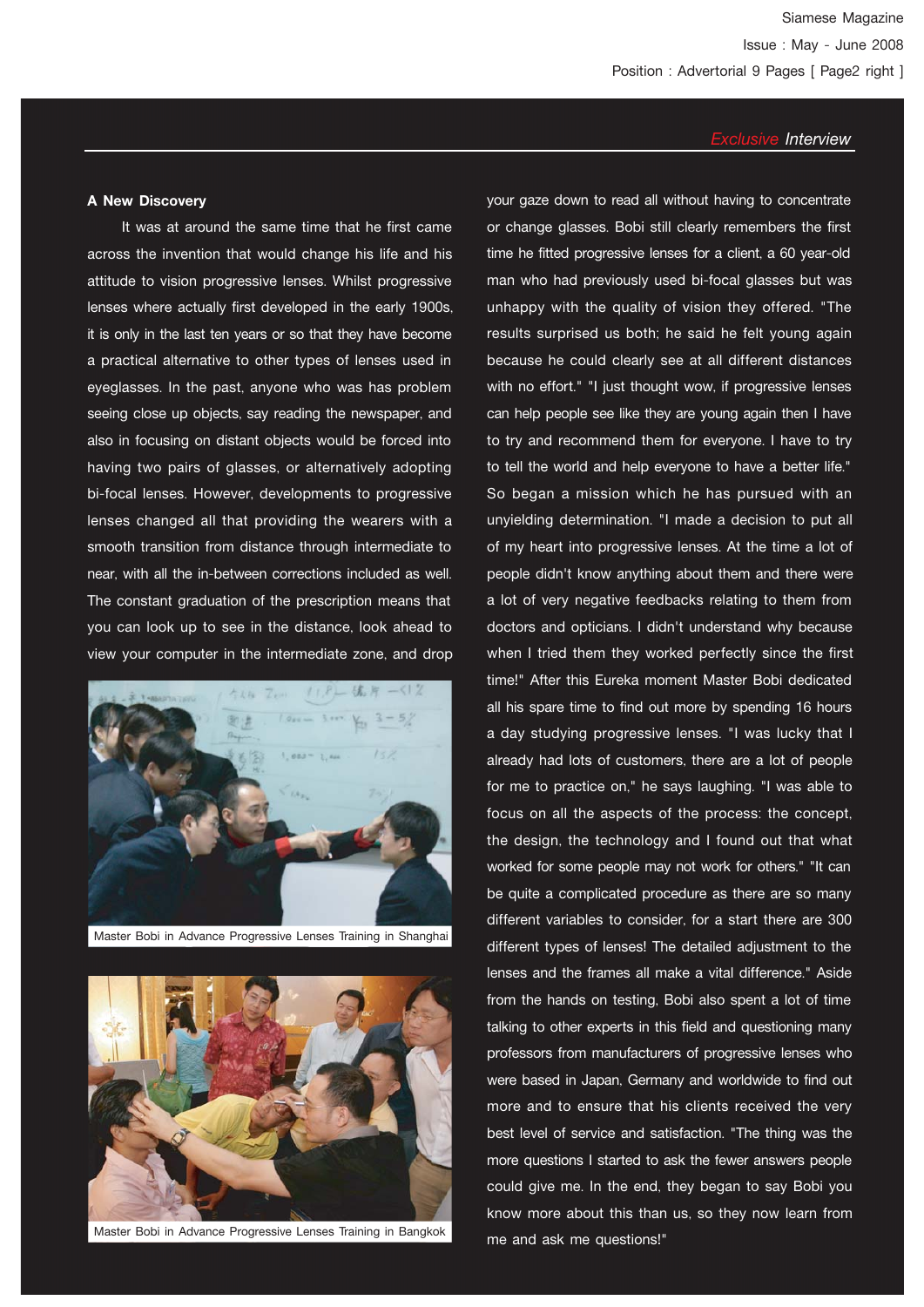#### **A New Discovery**

 It was at around the same time that he first came across the invention that would change his life and his attitude to vision progressive lenses. Whilst progressive lenses where actually first developed in the early 1900s, it is only in the last ten years or so that they have become a practical alternative to other types of lenses used in eyeglasses. In the past, anyone who was has problem seeing close up objects, say reading the newspaper, and also in focusing on distant objects would be forced into having two pairs of glasses, or alternatively adopting bi-focal lenses. However, developments to progressive lenses changed all that providing the wearers with a smooth transition from distance through intermediate to near, with all the in-between corrections included as well. The constant graduation of the prescription means that you can look up to see in the distance, look ahead to view your computer in the intermediate zone, and drop



Master Bobi in Advance Progressive Lenses Training in Shanghai



Master Bobi in Advance Progressive Lenses Training in Bangkok

your gaze down to read all without having to concentrate or change glasses. Bobi still clearly remembers the first time he fitted progressive lenses for a client, a 60 year-old man who had previously used bi-focal glasses but was unhappy with the quality of vision they offered. "The results surprised us both; he said he felt young again because he could clearly see at all different distances with no effort." "I just thought wow, if progressive lenses can help people see like they are young again then I have to try and recommend them for everyone. I have to try to tell the world and help everyone to have a better life." So began a mission which he has pursued with an unyielding determination. "I made a decision to put all of my heart into progressive lenses. At the time a lot of people didn't know anything about them and there were a lot of very negative feedbacks relating to them from doctors and opticians. I didn't understand why because when I tried them they worked perfectly since the first time!" After this Eureka moment Master Bobi dedicated all his spare time to find out more by spending 16 hours a day studying progressive lenses. "I was lucky that I already had lots of customers, there are a lot of people for me to practice on," he says laughing. "I was able to focus on all the aspects of the process: the concept, the design, the technology and I found out that what worked for some people may not work for others." "It can be quite a complicated procedure as there are so many different variables to consider, for a start there are 300 different types of lenses! The detailed adjustment to the lenses and the frames all make a vital difference." Aside from the hands on testing, Bobi also spent a lot of time talking to other experts in this field and questioning many professors from manufacturers of progressive lenses who were based in Japan, Germany and worldwide to find out more and to ensure that his clients received the very best level of service and satisfaction. "The thing was the more questions I started to ask the fewer answers people could give me. In the end, they began to say Bobi you know more about this than us, so they now learn from me and ask me questions!"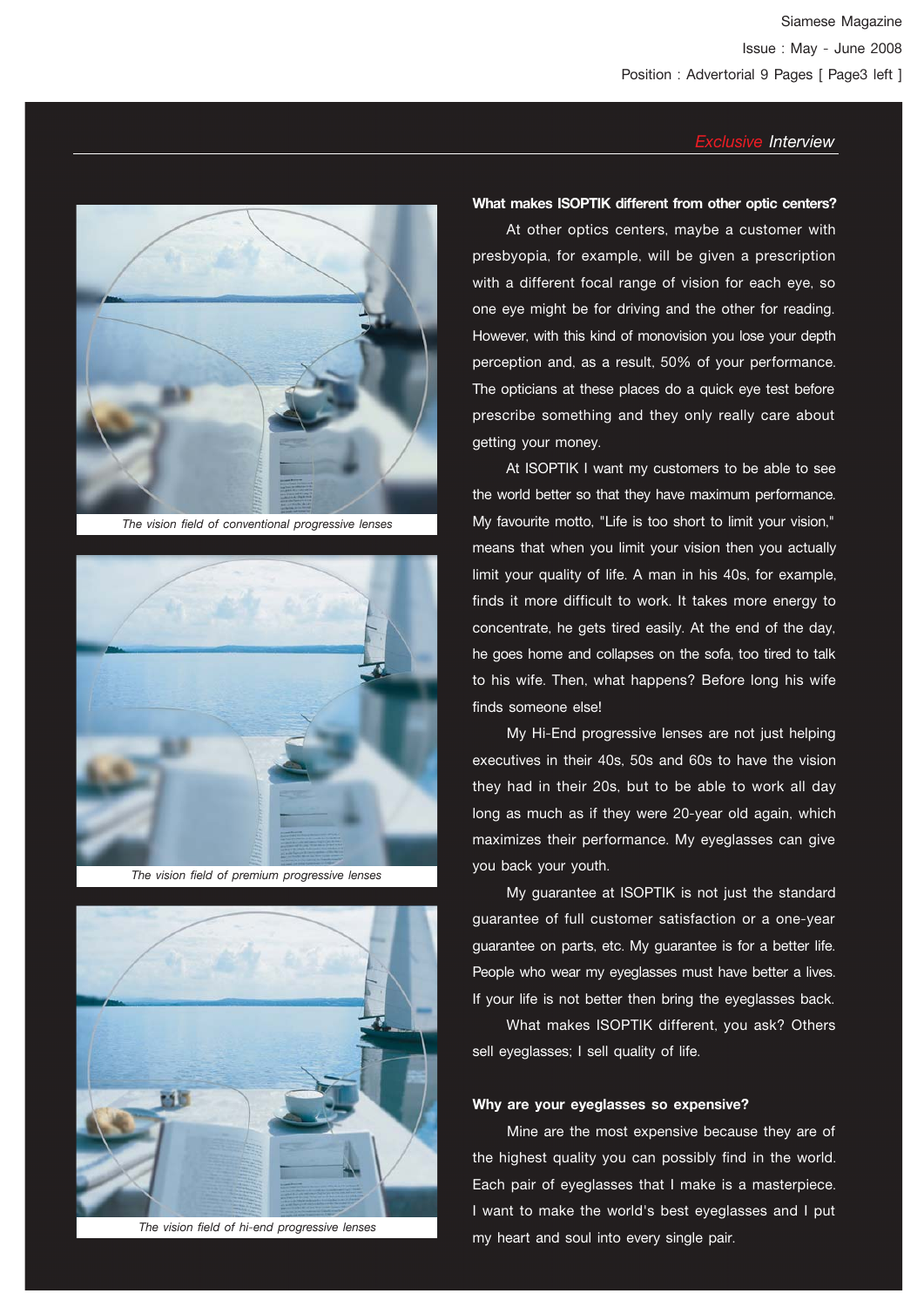

*The vision field of conventional progressive lenses*



*The vision field of premium progressive lenses*



*The vision field of hi-end progressive lenses*

#### **What makes ISOPTIK different from other optic centers?**

 At other optics centers, maybe a customer with presbyopia, for example, will be given a prescription with a different focal range of vision for each eve, so one eye might be for driving and the other for reading. However, with this kind of monovision you lose your depth perception and, as a result, 50% of your performance. The opticians at these places do a quick eye test before prescribe something and they only really care about getting your money.

 At ISOPTIK I want my customers to be able to see the world better so that they have maximum performance. My favourite motto, "Life is too short to limit your vision," means that when you limit your vision then you actually limit your quality of life. A man in his 40s, for example, finds it more difficult to work. It takes more energy to concentrate, he gets tired easily. At the end of the day, he goes home and collapses on the sofa, too tired to talk to his wife. Then, what happens? Before long his wife finds someone else!

 My Hi-End progressive lenses are not just helping executives in their 40s, 50s and 60s to have the vision they had in their 20s, but to be able to work all day long as much as if they were 20-year old again, which maximizes their performance. My eyeglasses can give you back your youth.

 My guarantee at ISOPTIK is not just the standard guarantee of full customer satisfaction or a one-year guarantee on parts, etc. My guarantee is for a better life. People who wear my eyeglasses must have better a lives. If your life is not better then bring the eyeglasses back.

 What makes ISOPTIK different, you ask? Others sell eyeglasses; I sell quality of life.

#### **Why are your eyeglasses so expensive?**

 Mine are the most expensive because they are of the highest quality you can possibly find in the world. Each pair of eyeglasses that I make is a masterpiece. I want to make the world's best eyeglasses and I put my heart and soul into every single pair.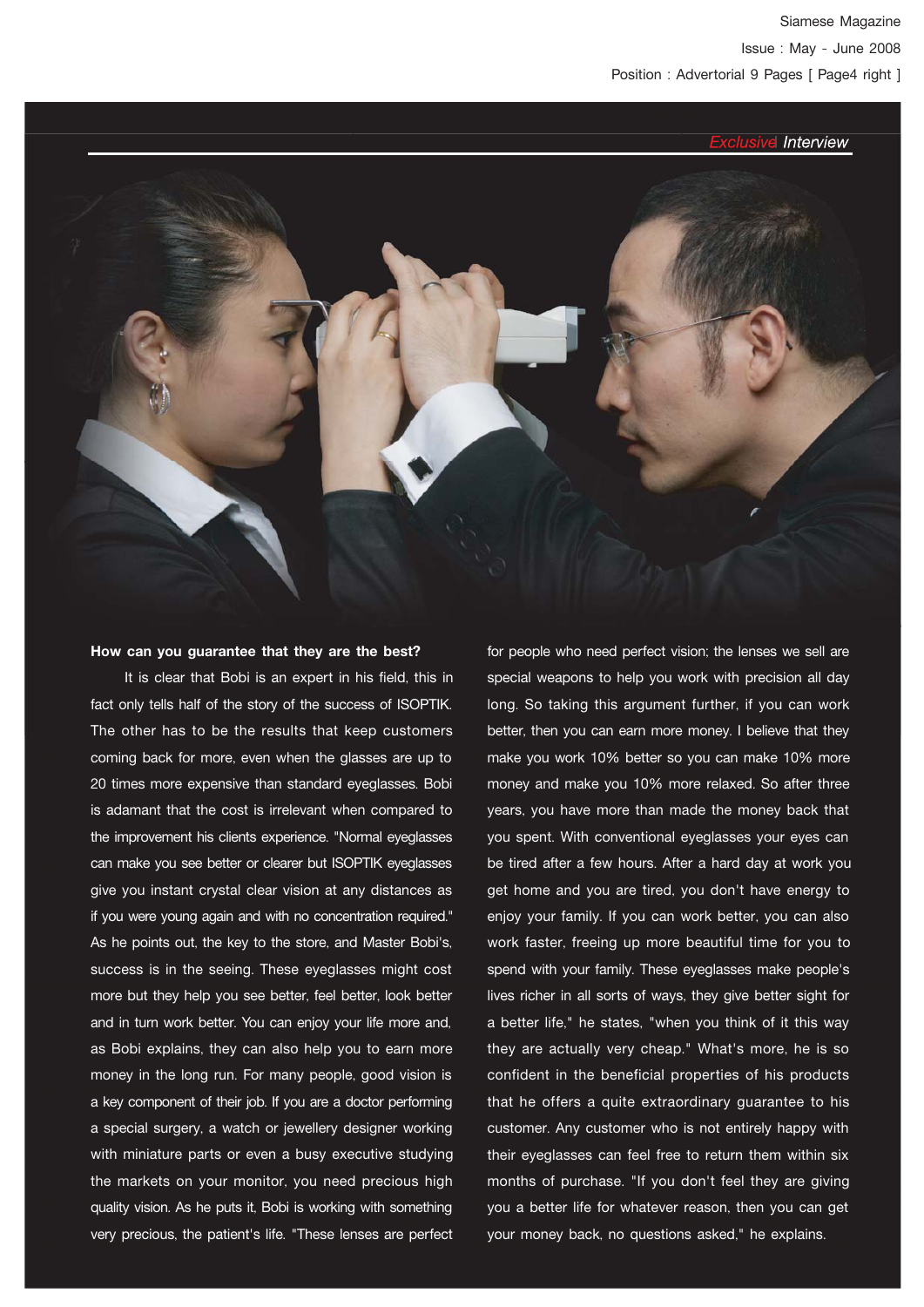

#### **How can you guarantee that they are the best?**

 It is clear that Bobi is an expert in his field, this in fact only tells half of the story of the success of ISOPTIK. The other has to be the results that keep customers coming back for more, even when the glasses are up to 20 times more expensive than standard eyeglasses. Bobi is adamant that the cost is irrelevant when compared to the improvement his clients experience. "Normal eyeglasses can make you see better or clearer but ISOPTIK eyeglasses give you instant crystal clear vision at any distances as if you were young again and with no concentration required." As he points out, the key to the store, and Master Bobi's, success is in the seeing. These eyeglasses might cost more but they help you see better, feel better, look better and in turn work better. You can enjoy your life more and, as Bobi explains, they can also help you to earn more money in the long run. For many people, good vision is a key component of their job. If you are a doctor performing a special surgery, a watch or jewellery designer working with miniature parts or even a busy executive studying the markets on your monitor, you need precious high quality vision. As he puts it, Bobi is working with something very precious, the patient's life. "These lenses are perfect for people who need perfect vision; the lenses we sell are special weapons to help you work with precision all day long. So taking this argument further, if you can work better, then you can earn more money. I believe that they make you work 10% better so you can make 10% more money and make you 10% more relaxed. So after three years, you have more than made the money back that you spent. With conventional eyeglasses your eyes can be tired after a few hours. After a hard day at work you get home and you are tired, you don't have energy to enjoy your family. If you can work better, you can also work faster, freeing up more beautiful time for you to spend with your family. These eyeglasses make people's lives richer in all sorts of ways, they give better sight for a better life," he states, "when you think of it this way they are actually very cheap." What's more, he is so confident in the beneficial properties of his products that he offers a quite extraordinary guarantee to his customer. Any customer who is not entirely happy with their eyeglasses can feel free to return them within six months of purchase. "If you don't feel they are giving you a better life for whatever reason, then you can get your money back, no questions asked," he explains.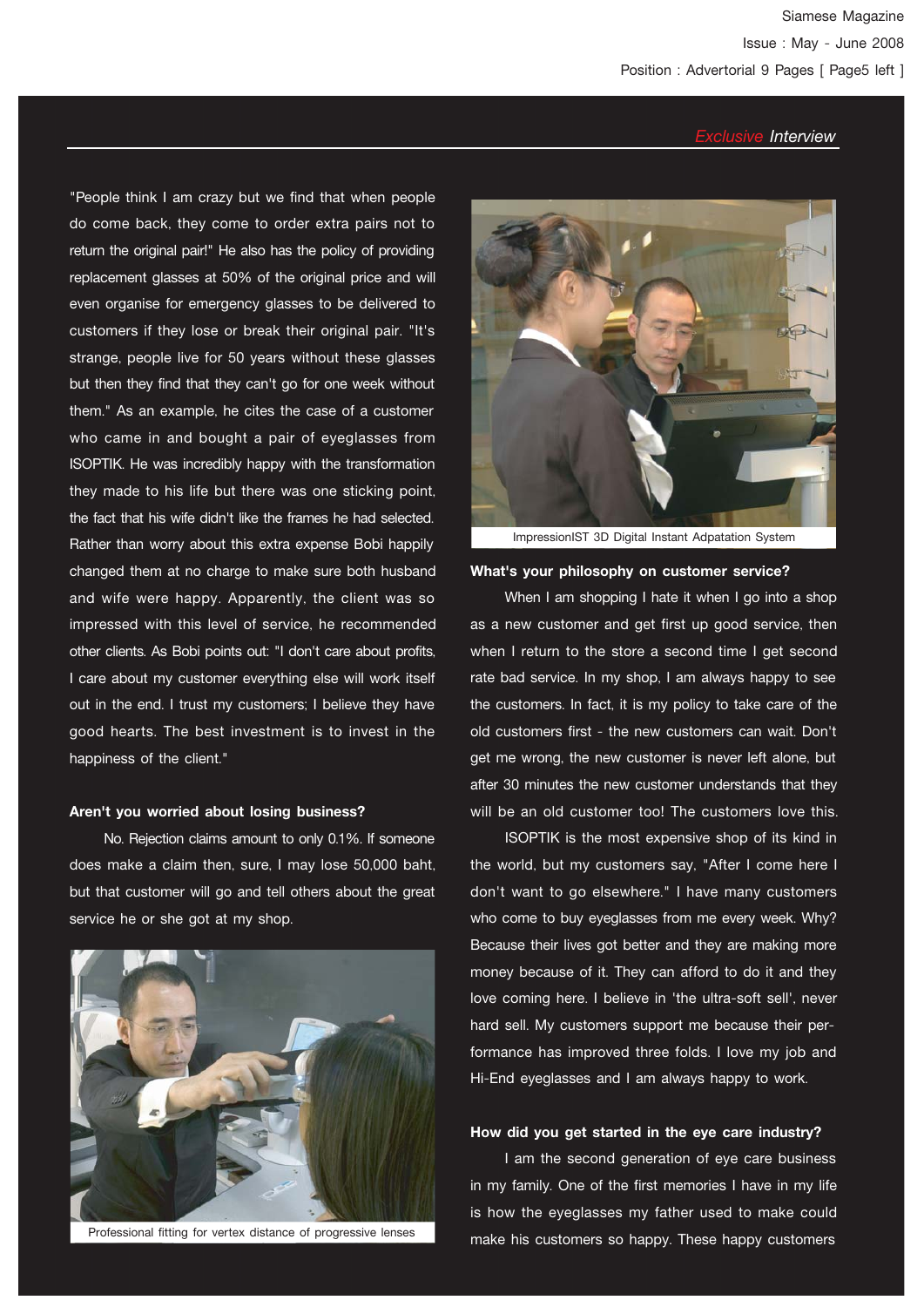"People think I am crazy but we find that when people do come back, they come to order extra pairs not to return the original pair!" He also has the policy of providing replacement glasses at 50% of the original price and will even organise for emergency glasses to be delivered to customers if they lose or break their original pair. "It's strange, people live for 50 years without these glasses but then they find that they can't go for one week without them." As an example, he cites the case of a customer who came in and bought a pair of eyeglasses from ISOPTIK. He was incredibly happy with the transformation they made to his life but there was one sticking point, the fact that his wife didn't like the frames he had selected. Rather than worry about this extra expense Bobi happily changed them at no charge to make sure both husband and wife were happy. Apparently, the client was so impressed with this level of service, he recommended other clients. As Bobi points out: "I don't care about profits, I care about my customer everything else will work itself out in the end. I trust my customers; I believe they have good hearts. The best investment is to invest in the happiness of the client."

#### **Aren't you worried about losing business?**

 No. Rejection claims amount to only 0.1%. If someone does make a claim then, sure, I may lose 50,000 baht, but that customer will go and tell others about the great service he or she got at my shop.



Professional fitting for vertex distance of progressive lenses



ImpressionIST 3D Digital Instant Adpatation System

#### **What's your philosophy on customer service?**

When I am shopping I hate it when I go into a shop as a new customer and get first up good service, then when I return to the store a second time I get second rate bad service. In my shop, I am always happy to see the customers. In fact, it is my policy to take care of the old customers first - the new customers can wait. Don't get me wrong, the new customer is never left alone, but after 30 minutes the new customer understands that they will be an old customer too! The customers love this.

 ISOPTIK is the most expensive shop of its kind in the world, but my customers say, "After I come here I don't want to go elsewhere." I have many customers who come to buy eyeglasses from me every week. Why? Because their lives got better and they are making more money because of it. They can afford to do it and they love coming here. I believe in 'the ultra-soft sell', never hard sell. My customers support me because their performance has improved three folds. I love my job and Hi-End eyeglasses and I am always happy to work.

#### **How did you get started in the eye care industry?**

 I am the second generation of eye care business in my family. One of the first memories I have in my life is how the eyeglasses my father used to make could make his customers so happy. These happy customers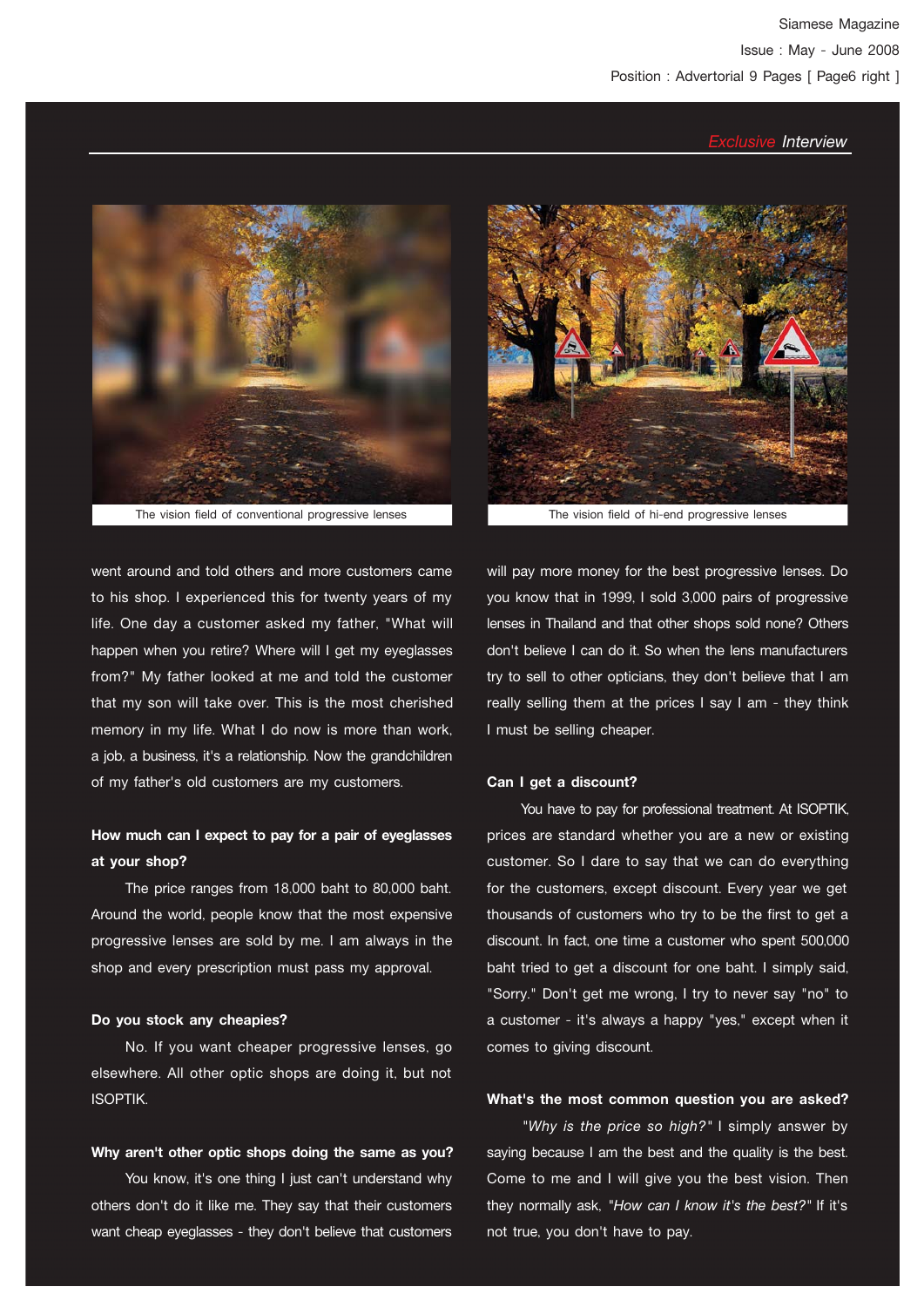

The vision field of conventional progressive lenses The vision field of hi-end progressive lenses

went around and told others and more customers came to his shop. I experienced this for twenty years of my life. One day a customer asked my father, "What will happen when you retire? Where will I get my eyeglasses from?" My father looked at me and told the customer that my son will take over. This is the most cherished memory in my life. What I do now is more than work, a job, a business, it's a relationship. Now the grandchildren of my father's old customers are my customers.

## **How much can I expect to pay for a pair of eyeglasses at your shop?**

 The price ranges from 18,000 baht to 80,000 baht. Around the world, people know that the most expensive progressive lenses are sold by me. I am always in the shop and every prescription must pass my approval.

#### **Do you stock any cheapies?**

 No. If you want cheaper progressive lenses, go elsewhere. All other optic shops are doing it, but not ISOPTIK.

#### **Why aren't other optic shops doing the same as you?**

 You know, it's one thing I just can't understand why others don't do it like me. They say that their customers want cheap eyeglasses - they don't believe that customers



will pay more money for the best progressive lenses. Do you know that in 1999, I sold 3,000 pairs of progressive lenses in Thailand and that other shops sold none? Others don't believe I can do it. So when the lens manufacturers try to sell to other opticians, they don't believe that I am really selling them at the prices I say I am - they think I must be selling cheaper.

#### **Can I get a discount?**

 You have to pay for professional treatment. At ISOPTIK, prices are standard whether you are a new or existing customer. So I dare to say that we can do everything for the customers, except discount. Every year we get thousands of customers who try to be the first to get a discount. In fact, one time a customer who spent 500,000 baht tried to get a discount for one baht. I simply said, "Sorry." Don't get me wrong, I try to never say "no" to a customer - it's always a happy "yes," except when it comes to giving discount.

#### **What's the most common question you are asked?**

 *"Why is the price so high?"* I simply answer by saying because I am the best and the quality is the best. Come to me and I will give you the best vision. Then they normally ask, *"How can I know it's the best?"* If it's not true, you don't have to pay.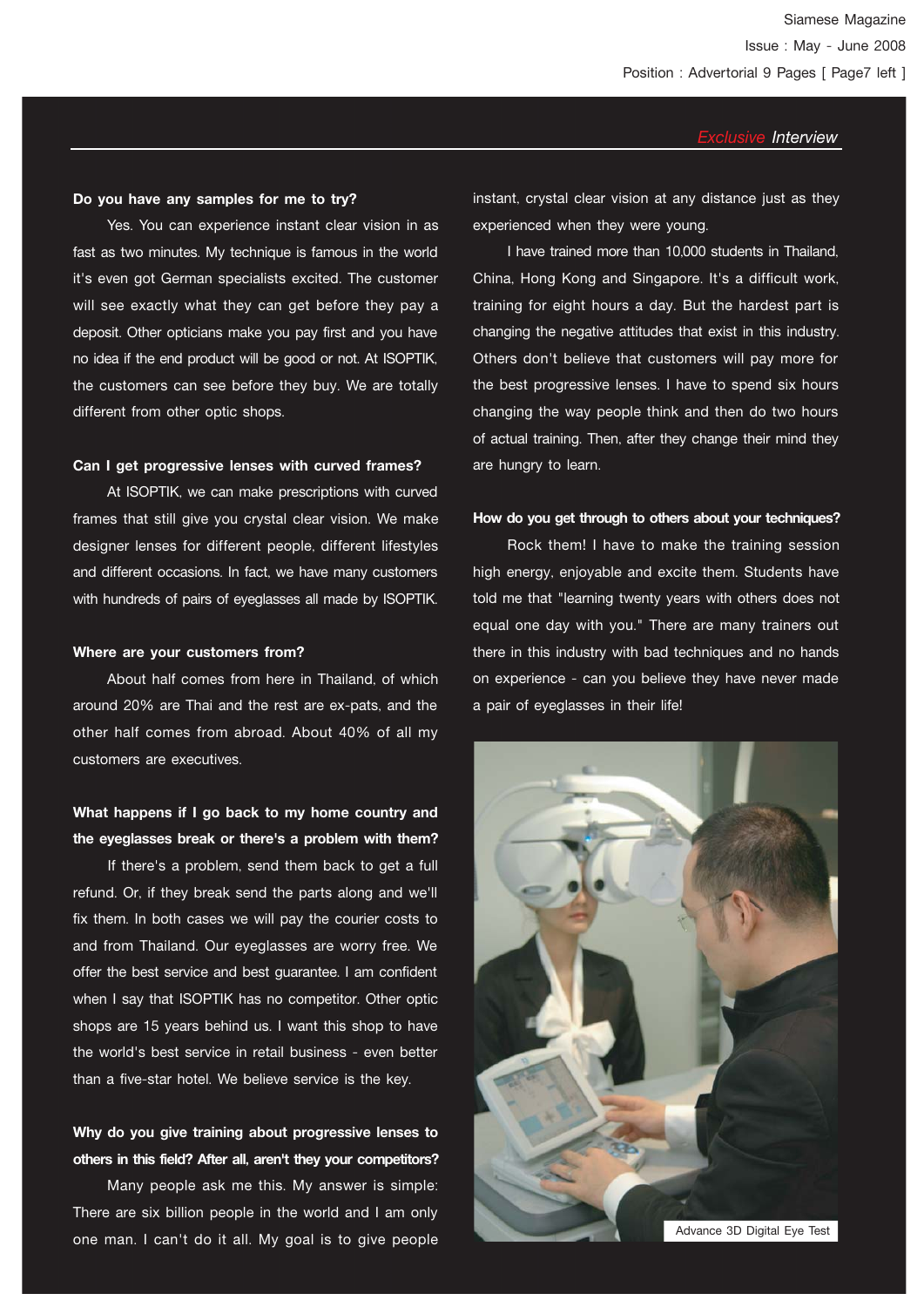#### **Do you have any samples for me to try?**

 Yes. You can experience instant clear vision in as fast as two minutes. My technique is famous in the world it's even got German specialists excited. The customer will see exactly what they can get before they pay a deposit. Other opticians make you pay first and you have no idea if the end product will be good or not. At ISOPTIK, the customers can see before they buy. We are totally different from other optic shops.

#### **Can I get progressive lenses with curved frames?**

 At ISOPTIK, we can make prescriptions with curved frames that still give you crystal clear vision. We make designer lenses for different people, different lifestyles and different occasions. In fact, we have many customers with hundreds of pairs of eyeglasses all made by ISOPTIK.

#### **Where are your customers from?**

 About half comes from here in Thailand, of which around 20% are Thai and the rest are ex-pats, and the other half comes from abroad. About 40% of all my customers are executives.

## **What happens if I go back to my home country and the eyeglasses break or there's a problem with them?**

 If there's a problem, send them back to get a full refund. Or, if they break send the parts along and we'll fix them. In both cases we will pay the courier costs to and from Thailand. Our eyeglasses are worry free. We offer the best service and best guarantee. I am confident when I say that ISOPTIK has no competitor. Other optic shops are 15 years behind us. I want this shop to have the world's best service in retail business - even better than a five-star hotel. We believe service is the key.

## **Why do you give training about progressive lenses to others in this field? After all, aren't they your competitors?**

 Many people ask me this. My answer is simple: There are six billion people in the world and I am only one man. I can't do it all. My goal is to give people instant, crystal clear vision at any distance just as they experienced when they were young.

 I have trained more than 10,000 students in Thailand, China, Hong Kong and Singapore. It's a difficult work, training for eight hours a day. But the hardest part is changing the negative attitudes that exist in this industry. Others don't believe that customers will pay more for the best progressive lenses. I have to spend six hours changing the way people think and then do two hours of actual training. Then, after they change their mind they are hungry to learn.

#### **How do you get through to others about your techniques?**

 Rock them! I have to make the training session high energy, enjoyable and excite them. Students have told me that "learning twenty years with others does not equal one day with you." There are many trainers out there in this industry with bad techniques and no hands on experience - can you believe they have never made a pair of eyeglasses in their life!

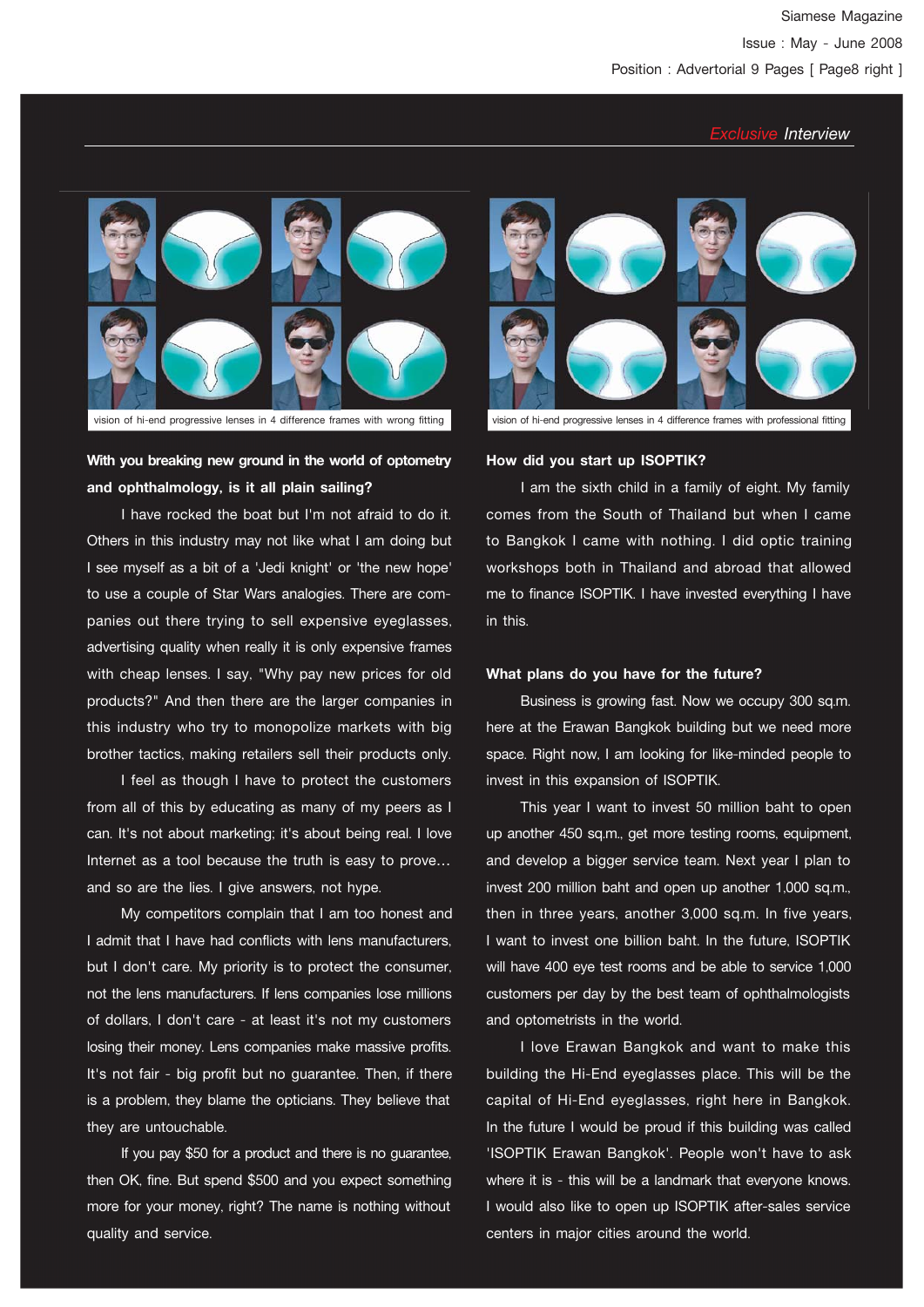

## **With you breaking new ground in the world of optometry and ophthalmology, is it all plain sailing?**

 I have rocked the boat but I'm not afraid to do it. Others in this industry may not like what I am doing but I see myself as a bit of a 'Jedi knight' or 'the new hope' to use a couple of Star Wars analogies. There are companies out there trying to sell expensive eyeglasses, advertising quality when really it is only expensive frames with cheap lenses. I say, "Why pay new prices for old products?" And then there are the larger companies in this industry who try to monopolize markets with big brother tactics, making retailers sell their products only.

 I feel as though I have to protect the customers from all of this by educating as many of my peers as I can. It's not about marketing; it's about being real. I love Internet as a tool because the truth is easy to prove… and so are the lies. I give answers, not hype.

 My competitors complain that I am too honest and I admit that I have had conflicts with lens manufacturers, but I don't care. My priority is to protect the consumer, not the lens manufacturers. If lens companies lose millions of dollars, I don't care - at least it's not my customers losing their money. Lens companies make massive profits. It's not fair - big profit but no guarantee. Then, if there is a problem, they blame the opticians. They believe that they are untouchable.

 If you pay \$50 for a product and there is no guarantee, then OK, fine. But spend \$500 and you expect something more for your money, right? The name is nothing without quality and service.



#### **How did you start up ISOPTIK?**

 I am the sixth child in a family of eight. My family comes from the South of Thailand but when I came to Bangkok I came with nothing. I did optic training workshops both in Thailand and abroad that allowed me to finance ISOPTIK. I have invested everything I have in this.

#### **What plans do you have for the future?**

 Business is growing fast. Now we occupy 300 sq.m. here at the Erawan Bangkok building but we need more space. Right now, I am looking for like-minded people to invest in this expansion of ISOPTIK.

 This year I want to invest 50 million baht to open up another 450 sq.m., get more testing rooms, equipment, and develop a bigger service team. Next year I plan to invest 200 million baht and open up another 1,000 sq.m., then in three years, another 3,000 sq.m. In five years, I want to invest one billion baht. In the future, ISOPTIK will have 400 eye test rooms and be able to service 1,000 customers per day by the best team of ophthalmologists and optometrists in the world.

 I love Erawan Bangkok and want to make this building the Hi-End eyeglasses place. This will be the capital of Hi-End eyeglasses, right here in Bangkok. In the future I would be proud if this building was called 'ISOPTIK Erawan Bangkok'. People won't have to ask where it is - this will be a landmark that everyone knows. I would also like to open up ISOPTIK after-sales service centers in major cities around the world.